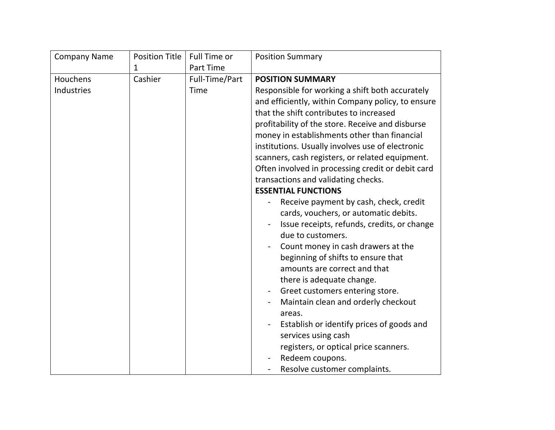| <b>Company Name</b> | <b>Position Title</b> | Full Time or     | <b>Position Summary</b>                                                                                                                                                                                                                                                                                                                                                                                                                                                                                                                                                                                                                                                                                                                                                                                                                                                                                                                                                                                                                  |
|---------------------|-----------------------|------------------|------------------------------------------------------------------------------------------------------------------------------------------------------------------------------------------------------------------------------------------------------------------------------------------------------------------------------------------------------------------------------------------------------------------------------------------------------------------------------------------------------------------------------------------------------------------------------------------------------------------------------------------------------------------------------------------------------------------------------------------------------------------------------------------------------------------------------------------------------------------------------------------------------------------------------------------------------------------------------------------------------------------------------------------|
|                     | 1                     | <b>Part Time</b> |                                                                                                                                                                                                                                                                                                                                                                                                                                                                                                                                                                                                                                                                                                                                                                                                                                                                                                                                                                                                                                          |
| Houchens            | Cashier               | Full-Time/Part   | <b>POSITION SUMMARY</b>                                                                                                                                                                                                                                                                                                                                                                                                                                                                                                                                                                                                                                                                                                                                                                                                                                                                                                                                                                                                                  |
| Industries          |                       | Time             | Responsible for working a shift both accurately<br>and efficiently, within Company policy, to ensure<br>that the shift contributes to increased<br>profitability of the store. Receive and disburse<br>money in establishments other than financial<br>institutions. Usually involves use of electronic<br>scanners, cash registers, or related equipment.<br>Often involved in processing credit or debit card<br>transactions and validating checks.<br><b>ESSENTIAL FUNCTIONS</b><br>Receive payment by cash, check, credit<br>cards, vouchers, or automatic debits.<br>Issue receipts, refunds, credits, or change<br>due to customers.<br>Count money in cash drawers at the<br>beginning of shifts to ensure that<br>amounts are correct and that<br>there is adequate change.<br>Greet customers entering store.<br>Maintain clean and orderly checkout<br>areas.<br>Establish or identify prices of goods and<br>services using cash<br>registers, or optical price scanners.<br>Redeem coupons.<br>Resolve customer complaints. |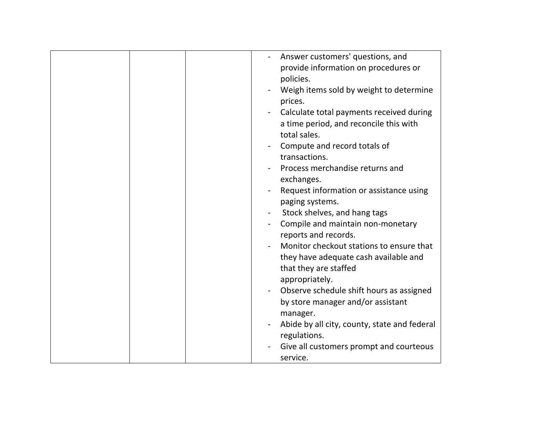|  | Answer customers' questions, and<br>provide information on procedures or<br>policies.<br>Weigh items sold by weight to determine<br>prices.<br>Calculate total payments received during<br>a time period, and reconcile this with<br>total sales.<br>Compute and record totals of<br>transactions.<br>Process merchandise returns and<br>exchanges.<br>Request information or assistance using<br>paging systems.<br>Stock shelves, and hang tags<br>Compile and maintain non-monetary<br>reports and records.<br>Monitor checkout stations to ensure that<br>they have adequate cash available and<br>that they are staffed<br>appropriately.<br>Observe schedule shift hours as assigned<br>by store manager and/or assistant<br>manager.<br>Abide by all city, county, state and federal |
|--|---------------------------------------------------------------------------------------------------------------------------------------------------------------------------------------------------------------------------------------------------------------------------------------------------------------------------------------------------------------------------------------------------------------------------------------------------------------------------------------------------------------------------------------------------------------------------------------------------------------------------------------------------------------------------------------------------------------------------------------------------------------------------------------------|
|  |                                                                                                                                                                                                                                                                                                                                                                                                                                                                                                                                                                                                                                                                                                                                                                                             |
|  | regulations.                                                                                                                                                                                                                                                                                                                                                                                                                                                                                                                                                                                                                                                                                                                                                                                |
|  | Give all customers prompt and courteous<br>service.                                                                                                                                                                                                                                                                                                                                                                                                                                                                                                                                                                                                                                                                                                                                         |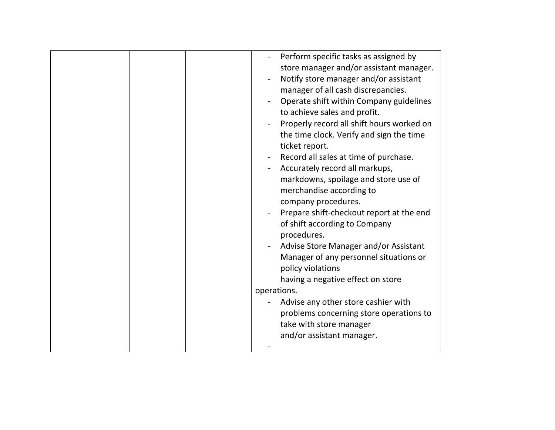| Perform specific tasks as assigned by<br>store manager and/or assistant manager.<br>Notify store manager and/or assistant<br>manager of all cash discrepancies.<br>Operate shift within Company guidelines<br>to achieve sales and profit.<br>Properly record all shift hours worked on<br>the time clock. Verify and sign the time<br>ticket report.<br>Record all sales at time of purchase.<br>Accurately record all markups,<br>markdowns, spoilage and store use of<br>merchandise according to<br>company procedures.<br>Prepare shift-checkout report at the end<br>of shift according to Company<br>procedures.<br>Advise Store Manager and/or Assistant<br>Manager of any personnel situations or<br>policy violations<br>having a negative effect on store<br>operations.<br>Advise any other store cashier with<br>problems concerning store operations to |
|-----------------------------------------------------------------------------------------------------------------------------------------------------------------------------------------------------------------------------------------------------------------------------------------------------------------------------------------------------------------------------------------------------------------------------------------------------------------------------------------------------------------------------------------------------------------------------------------------------------------------------------------------------------------------------------------------------------------------------------------------------------------------------------------------------------------------------------------------------------------------|
|                                                                                                                                                                                                                                                                                                                                                                                                                                                                                                                                                                                                                                                                                                                                                                                                                                                                       |
|                                                                                                                                                                                                                                                                                                                                                                                                                                                                                                                                                                                                                                                                                                                                                                                                                                                                       |
|                                                                                                                                                                                                                                                                                                                                                                                                                                                                                                                                                                                                                                                                                                                                                                                                                                                                       |
| take with store manager                                                                                                                                                                                                                                                                                                                                                                                                                                                                                                                                                                                                                                                                                                                                                                                                                                               |
| and/or assistant manager.                                                                                                                                                                                                                                                                                                                                                                                                                                                                                                                                                                                                                                                                                                                                                                                                                                             |
|                                                                                                                                                                                                                                                                                                                                                                                                                                                                                                                                                                                                                                                                                                                                                                                                                                                                       |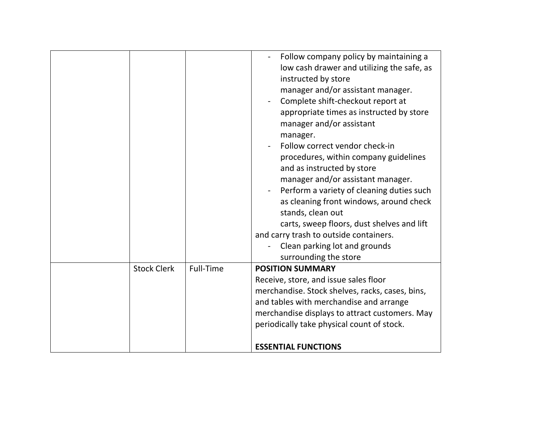|                    |           | Follow company policy by maintaining a<br>low cash drawer and utilizing the safe, as<br>instructed by store<br>manager and/or assistant manager.<br>Complete shift-checkout report at<br>appropriate times as instructed by store<br>manager and/or assistant<br>manager.<br>Follow correct vendor check-in<br>procedures, within company guidelines<br>and as instructed by store<br>manager and/or assistant manager.<br>Perform a variety of cleaning duties such<br>as cleaning front windows, around check<br>stands, clean out<br>carts, sweep floors, dust shelves and lift<br>and carry trash to outside containers.<br>Clean parking lot and grounds<br>surrounding the store |
|--------------------|-----------|----------------------------------------------------------------------------------------------------------------------------------------------------------------------------------------------------------------------------------------------------------------------------------------------------------------------------------------------------------------------------------------------------------------------------------------------------------------------------------------------------------------------------------------------------------------------------------------------------------------------------------------------------------------------------------------|
| <b>Stock Clerk</b> | Full-Time | <b>POSITION SUMMARY</b>                                                                                                                                                                                                                                                                                                                                                                                                                                                                                                                                                                                                                                                                |
|                    |           | Receive, store, and issue sales floor                                                                                                                                                                                                                                                                                                                                                                                                                                                                                                                                                                                                                                                  |
|                    |           | merchandise. Stock shelves, racks, cases, bins,                                                                                                                                                                                                                                                                                                                                                                                                                                                                                                                                                                                                                                        |
|                    |           | and tables with merchandise and arrange                                                                                                                                                                                                                                                                                                                                                                                                                                                                                                                                                                                                                                                |
|                    |           | merchandise displays to attract customers. May                                                                                                                                                                                                                                                                                                                                                                                                                                                                                                                                                                                                                                         |
|                    |           | periodically take physical count of stock.                                                                                                                                                                                                                                                                                                                                                                                                                                                                                                                                                                                                                                             |
|                    |           | <b>ESSENTIAL FUNCTIONS</b>                                                                                                                                                                                                                                                                                                                                                                                                                                                                                                                                                                                                                                                             |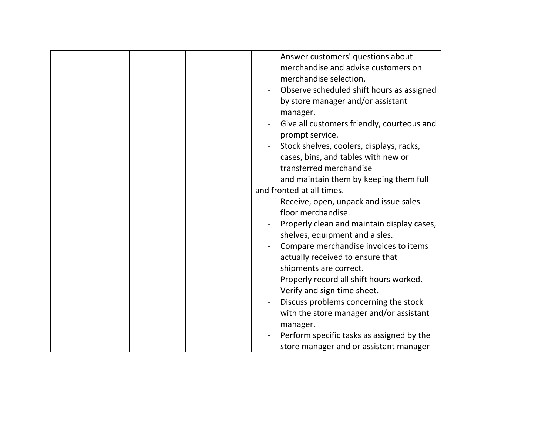| Answer customers' questions about<br>merchandise and advise customers on<br>merchandise selection.<br>Observe scheduled shift hours as assigned<br>by store manager and/or assistant<br>manager.<br>Give all customers friendly, courteous and<br>prompt service.<br>Stock shelves, coolers, displays, racks,<br>cases, bins, and tables with new or<br>transferred merchandise<br>and maintain them by keeping them full |
|---------------------------------------------------------------------------------------------------------------------------------------------------------------------------------------------------------------------------------------------------------------------------------------------------------------------------------------------------------------------------------------------------------------------------|
| and fronted at all times.                                                                                                                                                                                                                                                                                                                                                                                                 |
| Receive, open, unpack and issue sales<br>floor merchandise.<br>Properly clean and maintain display cases,<br>shelves, equipment and aisles.<br>Compare merchandise invoices to items<br>actually received to ensure that<br>shipments are correct.<br>Properly record all shift hours worked.<br>Verify and sign time sheet.<br>Discuss problems concerning the stock<br>with the store manager and/or assistant          |
| manager.<br>Perform specific tasks as assigned by the<br>store manager and or assistant manager                                                                                                                                                                                                                                                                                                                           |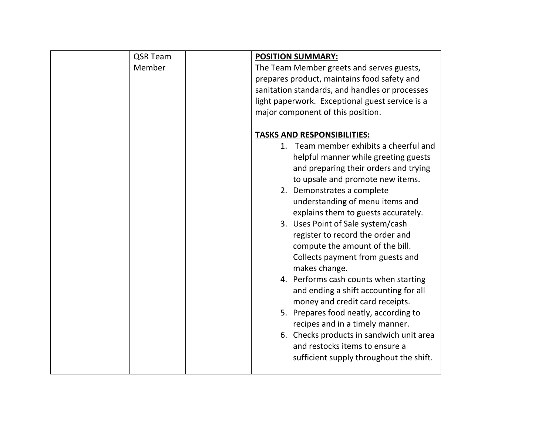| QSR Team | <b>POSITION SUMMARY:</b>                        |
|----------|-------------------------------------------------|
| Member   | The Team Member greets and serves guests,       |
|          | prepares product, maintains food safety and     |
|          | sanitation standards, and handles or processes  |
|          | light paperwork. Exceptional guest service is a |
|          | major component of this position.               |
|          |                                                 |
|          | <b>TASKS AND RESPONSIBILITIES:</b>              |
|          | Team member exhibits a cheerful and<br>1.       |
|          | helpful manner while greeting guests            |
|          | and preparing their orders and trying           |
|          | to upsale and promote new items.                |
|          | 2. Demonstrates a complete                      |
|          | understanding of menu items and                 |
|          | explains them to guests accurately.             |
|          | 3. Uses Point of Sale system/cash               |
|          | register to record the order and                |
|          | compute the amount of the bill.                 |
|          | Collects payment from guests and                |
|          | makes change.                                   |
|          | 4. Performs cash counts when starting           |
|          | and ending a shift accounting for all           |
|          | money and credit card receipts.                 |
|          | 5. Prepares food neatly, according to           |
|          | recipes and in a timely manner.                 |
|          | 6. Checks products in sandwich unit area        |
|          | and restocks items to ensure a                  |
|          | sufficient supply throughout the shift.         |
|          |                                                 |